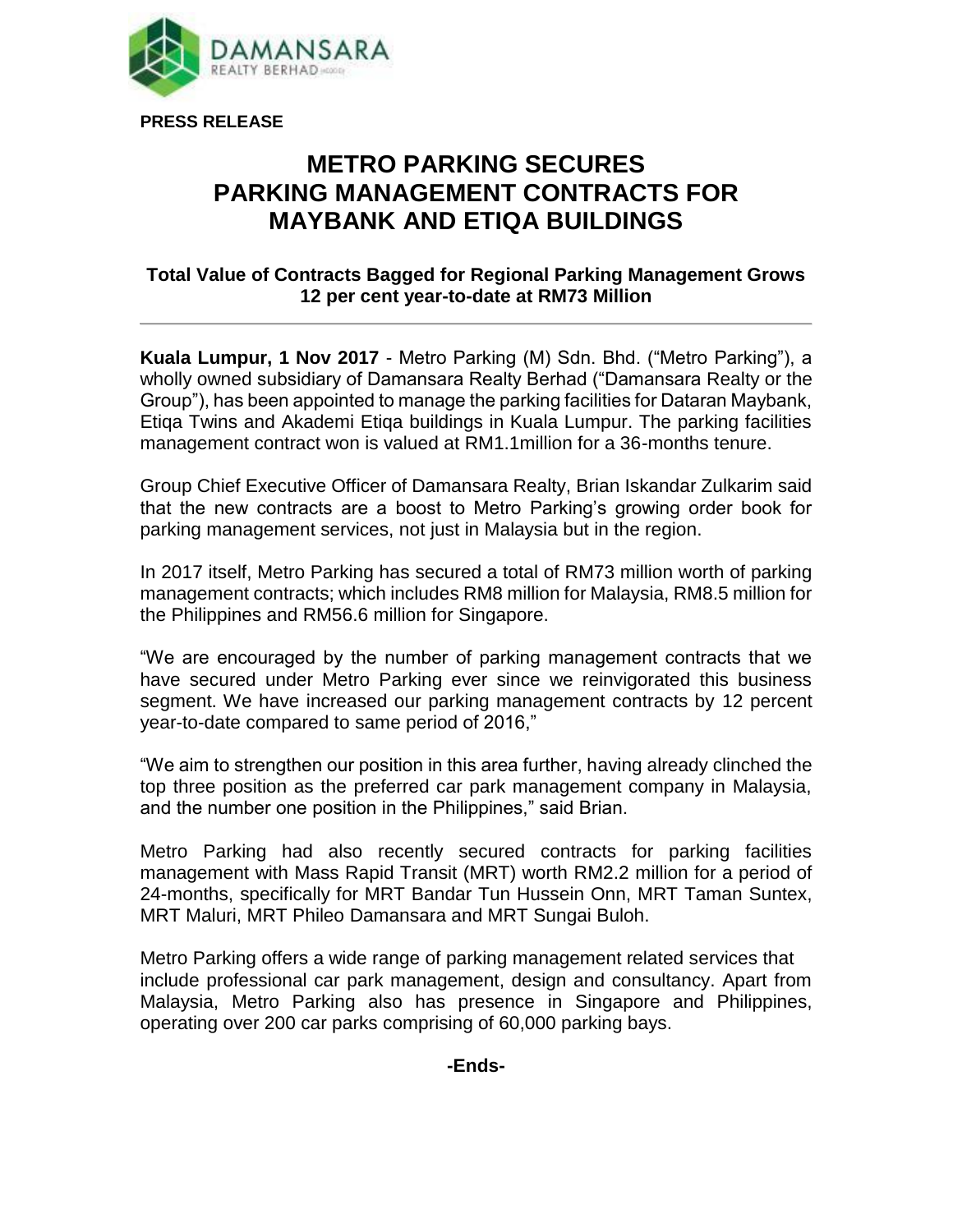

**PRESS RELEASE**

## **METRO PARKING SECURES PARKING MANAGEMENT CONTRACTS FOR MAYBANK AND ETIQA BUILDINGS**

## **Total Value of Contracts Bagged for Regional Parking Management Grows 12 per cent year-to-date at RM73 Million**

**Kuala Lumpur, 1 Nov 2017** - Metro Parking (M) Sdn. Bhd. ("Metro Parking"), a wholly owned subsidiary of Damansara Realty Berhad ("Damansara Realty or the Group"), has been appointed to manage the parking facilities for Dataran Maybank, Etiqa Twins and Akademi Etiqa buildings in Kuala Lumpur. The parking facilities management contract won is valued at RM1.1million for a 36-months tenure.

Group Chief Executive Officer of Damansara Realty, Brian Iskandar Zulkarim said that the new contracts are a boost to Metro Parking's growing order book for parking management services, not just in Malaysia but in the region.

In 2017 itself, Metro Parking has secured a total of RM73 million worth of parking management contracts; which includes RM8 million for Malaysia, RM8.5 million for the Philippines and RM56.6 million for Singapore.

"We are encouraged by the number of parking management contracts that we have secured under Metro Parking ever since we reinvigorated this business segment. We have increased our parking management contracts by 12 percent year-to-date compared to same period of 2016,"

"We aim to strengthen our position in this area further, having already clinched the top three position as the preferred car park management company in Malaysia, and the number one position in the Philippines," said Brian.

Metro Parking had also recently secured contracts for parking facilities management with Mass Rapid Transit (MRT) worth RM2.2 million for a period of 24-months, specifically for MRT Bandar Tun Hussein Onn, MRT Taman Suntex, MRT Maluri, MRT Phileo Damansara and MRT Sungai Buloh.

Metro Parking offers a wide range of parking management related services that include professional car park management, design and consultancy. Apart from Malaysia, Metro Parking also has presence in Singapore and Philippines, operating over 200 car parks comprising of 60,000 parking bays.

## **-Ends-**